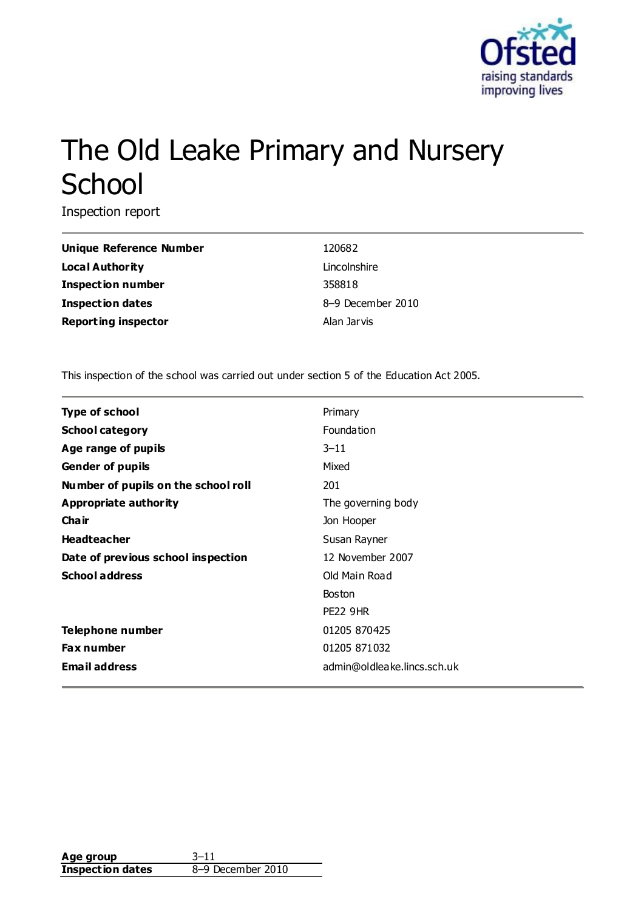

# The Old Leake Primary and Nursery **School**

Inspection report

**Unique Reference Number** 120682 **Local Authority** Lincolnshire **Inspection number** 358818 **Inspection dates** 8–9 December 2010 **Reporting inspector Alan Jarvis** 

This inspection of the school was carried out under section 5 of the Education Act 2005.

| <b>Type of school</b>               | Primary                     |
|-------------------------------------|-----------------------------|
| <b>School category</b>              | Foundation                  |
| Age range of pupils                 | $3 - 11$                    |
| <b>Gender of pupils</b>             | Mixed                       |
| Number of pupils on the school roll | 201                         |
| <b>Appropriate authority</b>        | The governing body          |
| Cha ir                              | Jon Hooper                  |
| <b>Headteacher</b>                  | Susan Rayner                |
| Date of previous school inspection  | 12 November 2007            |
| <b>School address</b>               | Old Main Road               |
|                                     | <b>Boston</b>               |
|                                     | <b>PE22 9HR</b>             |
| Telephone number                    | 01205 870425                |
| <b>Fax number</b>                   | 01205 871032                |
| <b>Email address</b>                | admin@oldleake.lincs.sch.uk |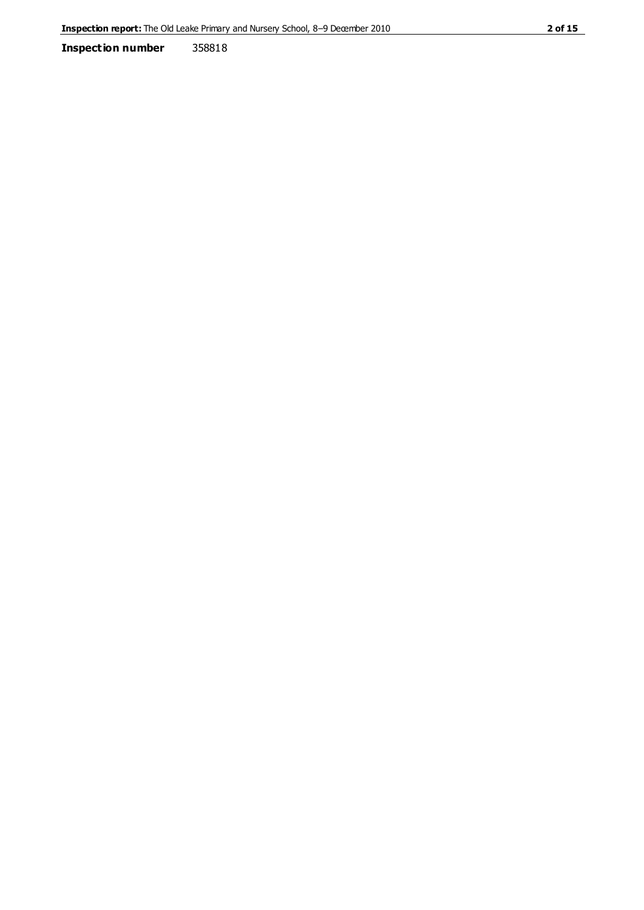**Inspection number** 358818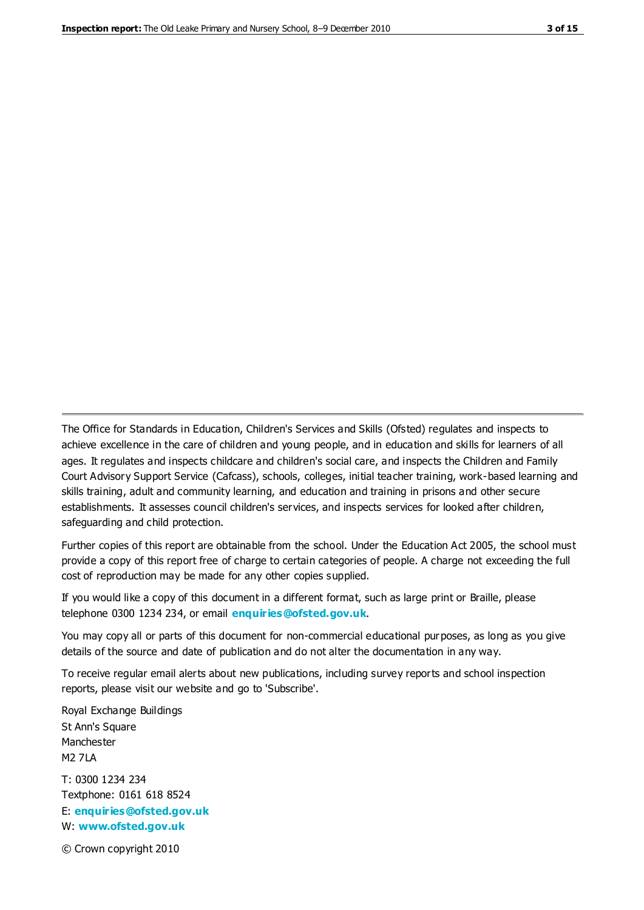The Office for Standards in Education, Children's Services and Skills (Ofsted) regulates and inspects to achieve excellence in the care of children and young people, and in education and skills for learners of all ages. It regulates and inspects childcare and children's social care, and inspects the Children and Family Court Advisory Support Service (Cafcass), schools, colleges, initial teacher training, work-based learning and skills training, adult and community learning, and education and training in prisons and other secure establishments. It assesses council children's services, and inspects services for looked after children, safeguarding and child protection.

Further copies of this report are obtainable from the school. Under the Education Act 2005, the school must provide a copy of this report free of charge to certain categories of people. A charge not exceeding the full cost of reproduction may be made for any other copies supplied.

If you would like a copy of this document in a different format, such as large print or Braille, please telephone 0300 1234 234, or email **[enquiries@ofsted.gov.uk](mailto:enquiries@ofsted.gov.uk)**.

You may copy all or parts of this document for non-commercial educational purposes, as long as you give details of the source and date of publication and do not alter the documentation in any way.

To receive regular email alerts about new publications, including survey reports and school inspection reports, please visit our website and go to 'Subscribe'.

Royal Exchange Buildings St Ann's Square Manchester M2 7LA T: 0300 1234 234 Textphone: 0161 618 8524 E: **[enquiries@ofsted.gov.uk](mailto:enquiries@ofsted.gov.uk)**

W: **[www.ofsted.gov.uk](http://www.ofsted.gov.uk/)**

© Crown copyright 2010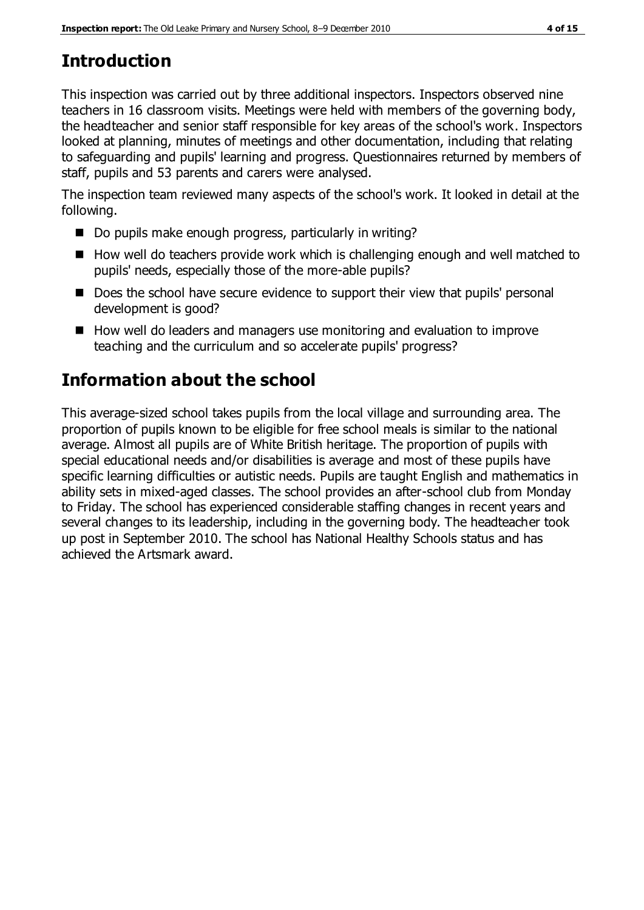# **Introduction**

This inspection was carried out by three additional inspectors. Inspectors observed nine teachers in 16 classroom visits. Meetings were held with members of the governing body, the headteacher and senior staff responsible for key areas of the school's work. Inspectors looked at planning, minutes of meetings and other documentation, including that relating to safeguarding and pupils' learning and progress. Questionnaires returned by members of staff, pupils and 53 parents and carers were analysed.

The inspection team reviewed many aspects of the school's work. It looked in detail at the following.

- Do pupils make enough progress, particularly in writing?
- $\blacksquare$  How well do teachers provide work which is challenging enough and well matched to pupils' needs, especially those of the more-able pupils?
- Does the school have secure evidence to support their view that pupils' personal development is good?
- How well do leaders and managers use monitoring and evaluation to improve teaching and the curriculum and so accelerate pupils' progress?

# **Information about the school**

This average-sized school takes pupils from the local village and surrounding area. The proportion of pupils known to be eligible for free school meals is similar to the national average. Almost all pupils are of White British heritage. The proportion of pupils with special educational needs and/or disabilities is average and most of these pupils have specific learning difficulties or autistic needs. Pupils are taught English and mathematics in ability sets in mixed-aged classes. The school provides an after-school club from Monday to Friday. The school has experienced considerable staffing changes in recent years and several changes to its leadership, including in the governing body. The headteacher took up post in September 2010. The school has National Healthy Schools status and has achieved the Artsmark award.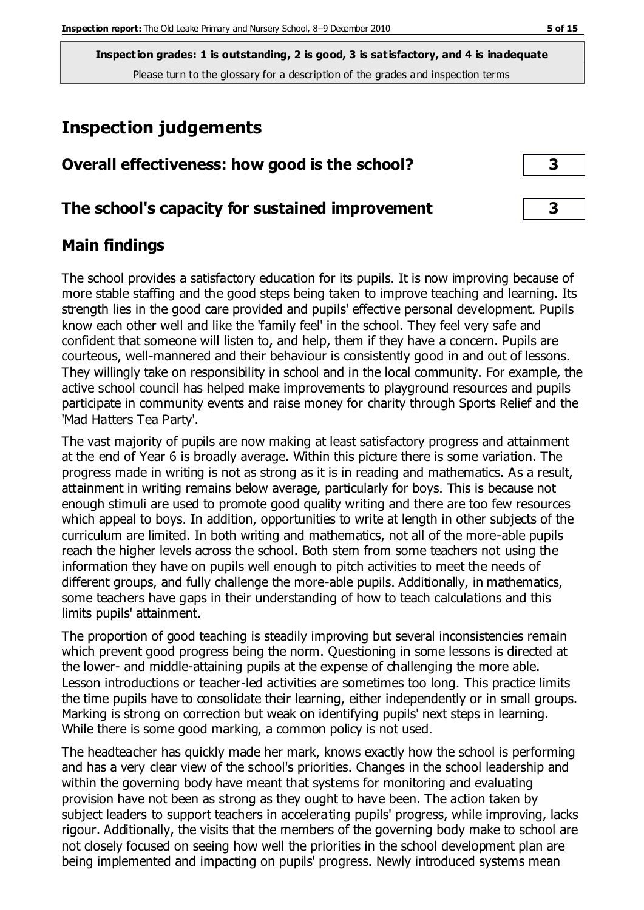## **Inspection judgements**

| Overall effectiveness: how good is the school? |  |
|------------------------------------------------|--|
|------------------------------------------------|--|

## **The school's capacity for sustained improvement 3**

## **Main findings**

The school provides a satisfactory education for its pupils. It is now improving because of more stable staffing and the good steps being taken to improve teaching and learning. Its strength lies in the good care provided and pupils' effective personal development. Pupils know each other well and like the 'family feel' in the school. They feel very safe and confident that someone will listen to, and help, them if they have a concern. Pupils are courteous, well-mannered and their behaviour is consistently good in and out of lessons. They willingly take on responsibility in school and in the local community. For example, the active school council has helped make improvements to playground resources and pupils participate in community events and raise money for charity through Sports Relief and the 'Mad Hatters Tea Party'.

The vast majority of pupils are now making at least satisfactory progress and attainment at the end of Year 6 is broadly average. Within this picture there is some variation. The progress made in writing is not as strong as it is in reading and mathematics. As a result, attainment in writing remains below average, particularly for boys. This is because not enough stimuli are used to promote good quality writing and there are too few resources which appeal to boys. In addition, opportunities to write at length in other subjects of the curriculum are limited. In both writing and mathematics, not all of the more-able pupils reach the higher levels across the school. Both stem from some teachers not using the information they have on pupils well enough to pitch activities to meet the needs of different groups, and fully challenge the more-able pupils. Additionally, in mathematics, some teachers have gaps in their understanding of how to teach calculations and this limits pupils' attainment.

The proportion of good teaching is steadily improving but several inconsistencies remain which prevent good progress being the norm. Questioning in some lessons is directed at the lower- and middle-attaining pupils at the expense of challenging the more able. Lesson introductions or teacher-led activities are sometimes too long. This practice limits the time pupils have to consolidate their learning, either independently or in small groups. Marking is strong on correction but weak on identifying pupils' next steps in learning. While there is some good marking, a common policy is not used.

The headteacher has quickly made her mark, knows exactly how the school is performing and has a very clear view of the school's priorities. Changes in the school leadership and within the governing body have meant that systems for monitoring and evaluating provision have not been as strong as they ought to have been. The action taken by subject leaders to support teachers in accelerating pupils' progress, while improving, lacks rigour. Additionally, the visits that the members of the governing body make to school are not closely focused on seeing how well the priorities in the school development plan are being implemented and impacting on pupils' progress. Newly introduced systems mean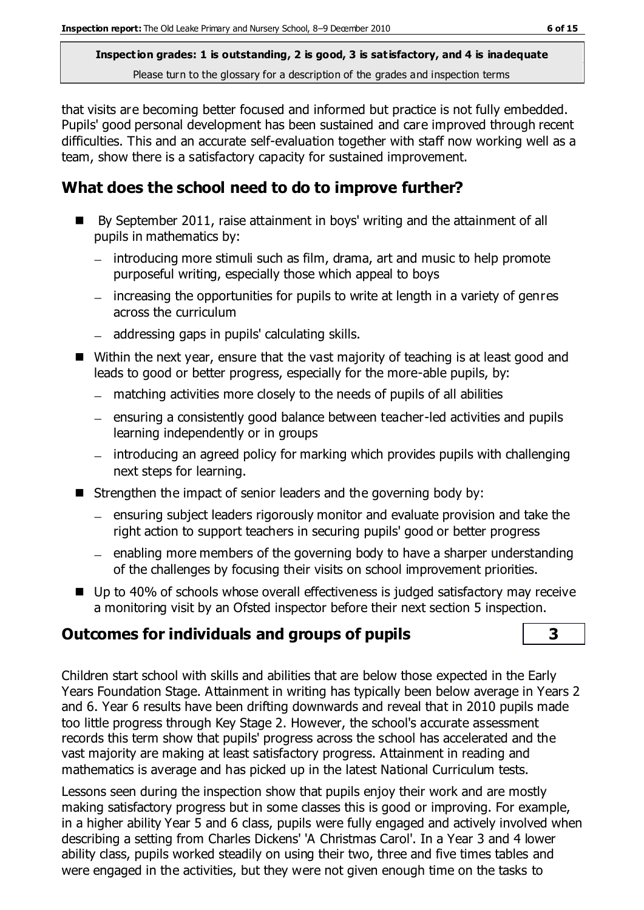that visits are becoming better focused and informed but practice is not fully embedded. Pupils' good personal development has been sustained and care improved through recent difficulties. This and an accurate self-evaluation together with staff now working well as a team, show there is a satisfactory capacity for sustained improvement.

## **What does the school need to do to improve further?**

- By September 2011, raise attainment in boys' writing and the attainment of all pupils in mathematics by:
	- introducing more stimuli such as film, drama, art and music to help promote purposeful writing, especially those which appeal to boys
	- increasing the opportunities for pupils to write at length in a variety of genres across the curriculum
	- addressing gaps in pupils' calculating skills.
- Within the next year, ensure that the vast majority of teaching is at least good and leads to good or better progress, especially for the more-able pupils, by:
	- matching activities more closely to the needs of pupils of all abilities
	- ensuring a consistently good balance between teacher-led activities and pupils learning independently or in groups
	- introducing an agreed policy for marking which provides pupils with challenging next steps for learning.
- Strengthen the impact of senior leaders and the governing body by:
	- $=$  ensuring subject leaders rigorously monitor and evaluate provision and take the right action to support teachers in securing pupils' good or better progress
	- $=$  enabling more members of the governing body to have a sharper understanding of the challenges by focusing their visits on school improvement priorities.
- Up to 40% of schools whose overall effectiveness is judged satisfactory may receive a monitoring visit by an Ofsted inspector before their next section 5 inspection.

## **Outcomes for individuals and groups of pupils 3**

Children start school with skills and abilities that are below those expected in the Early Years Foundation Stage. Attainment in writing has typically been below average in Years 2 and 6. Year 6 results have been drifting downwards and reveal that in 2010 pupils made too little progress through Key Stage 2. However, the school's accurate assessment records this term show that pupils' progress across the school has accelerated and the vast majority are making at least satisfactory progress. Attainment in reading and mathematics is average and has picked up in the latest National Curriculum tests.

Lessons seen during the inspection show that pupils enjoy their work and are mostly making satisfactory progress but in some classes this is good or improving. For example, in a higher ability Year 5 and 6 class, pupils were fully engaged and actively involved when describing a setting from Charles Dickens' 'A Christmas Carol'. In a Year 3 and 4 lower ability class, pupils worked steadily on using their two, three and five times tables and were engaged in the activities, but they were not given enough time on the tasks to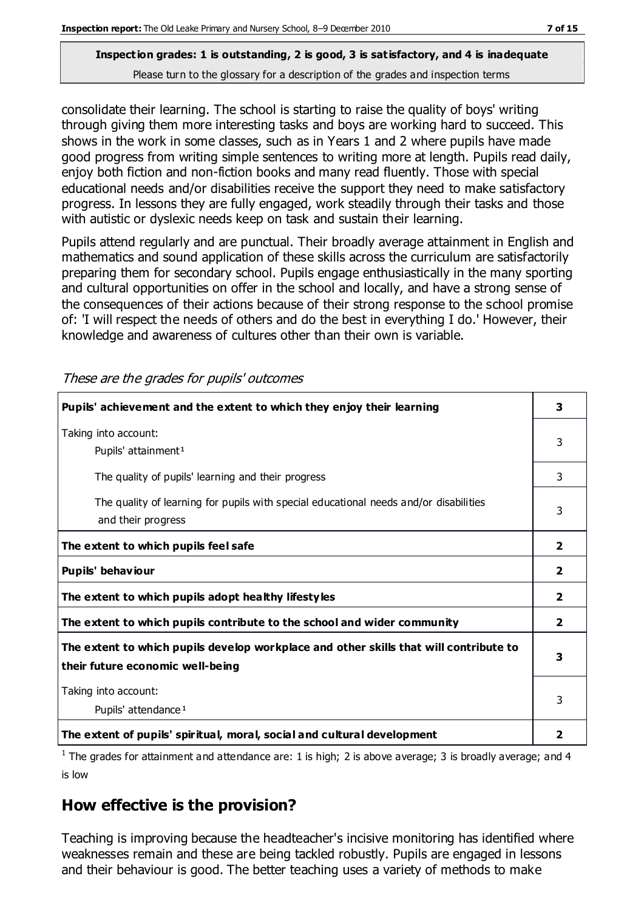consolidate their learning. The school is starting to raise the quality of boys' writing through giving them more interesting tasks and boys are working hard to succeed. This shows in the work in some classes, such as in Years 1 and 2 where pupils have made good progress from writing simple sentences to writing more at length. Pupils read daily, enjoy both fiction and non-fiction books and many read fluently. Those with special educational needs and/or disabilities receive the support they need to make satisfactory progress. In lessons they are fully engaged, work steadily through their tasks and those with autistic or dyslexic needs keep on task and sustain their learning.

Pupils attend regularly and are punctual. Their broadly average attainment in English and mathematics and sound application of these skills across the curriculum are satisfactorily preparing them for secondary school. Pupils engage enthusiastically in the many sporting and cultural opportunities on offer in the school and locally, and have a strong sense of the consequences of their actions because of their strong response to the school promise of: 'I will respect the needs of others and do the best in everything I do.' However, their knowledge and awareness of cultures other than their own is variable.

These are the grades for pupils' outcomes

| Pupils' achievement and the extent to which they enjoy their learning                                                     |                         |
|---------------------------------------------------------------------------------------------------------------------------|-------------------------|
| Taking into account:<br>Pupils' attainment <sup>1</sup>                                                                   |                         |
| The quality of pupils' learning and their progress                                                                        |                         |
| The quality of learning for pupils with special educational needs and/or disabilities<br>and their progress               |                         |
| The extent to which pupils feel safe                                                                                      | $\overline{\mathbf{2}}$ |
| Pupils' behaviour                                                                                                         | $\overline{\mathbf{2}}$ |
| The extent to which pupils adopt healthy lifestyles                                                                       | $\overline{\mathbf{2}}$ |
| The extent to which pupils contribute to the school and wider community                                                   | $\overline{2}$          |
| The extent to which pupils develop workplace and other skills that will contribute to<br>their future economic well-being |                         |
| Taking into account:<br>Pupils' attendance <sup>1</sup>                                                                   |                         |
| The extent of pupils' spiritual, moral, social and cultural development                                                   | 2                       |

<sup>1</sup> The grades for attainment and attendance are: 1 is high; 2 is above average; 3 is broadly average; and 4 is low

#### **How effective is the provision?**

Teaching is improving because the headteacher's incisive monitoring has identified where weaknesses remain and these are being tackled robustly. Pupils are engaged in lessons and their behaviour is good. The better teaching uses a variety of methods to make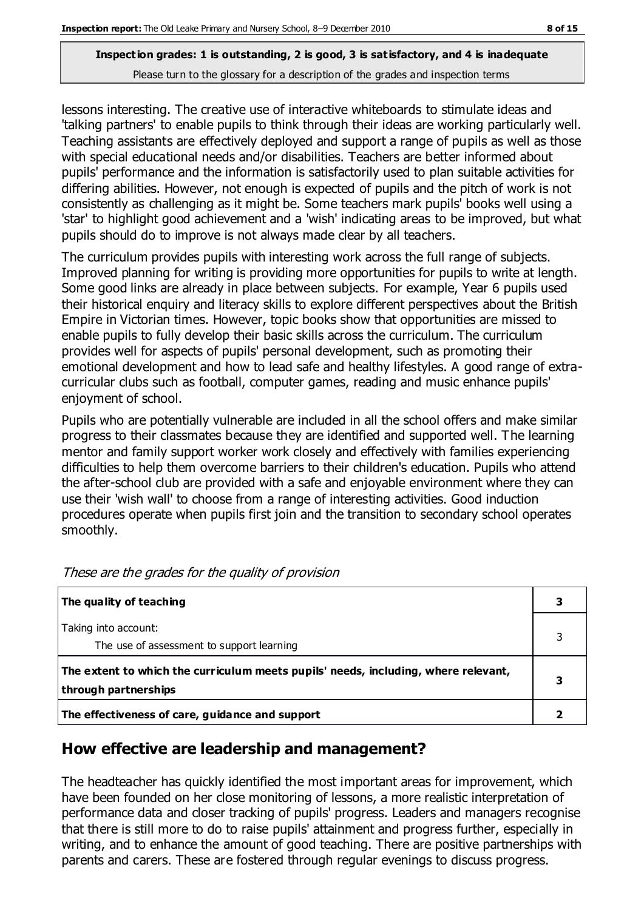lessons interesting. The creative use of interactive whiteboards to stimulate ideas and 'talking partners' to enable pupils to think through their ideas are working particularly well. Teaching assistants are effectively deployed and support a range of pupils as well as those with special educational needs and/or disabilities. Teachers are better informed about pupils' performance and the information is satisfactorily used to plan suitable activities for differing abilities. However, not enough is expected of pupils and the pitch of work is not consistently as challenging as it might be. Some teachers mark pupils' books well using a 'star' to highlight good achievement and a 'wish' indicating areas to be improved, but what pupils should do to improve is not always made clear by all teachers.

The curriculum provides pupils with interesting work across the full range of subjects. Improved planning for writing is providing more opportunities for pupils to write at length. Some good links are already in place between subjects. For example, Year 6 pupils used their historical enquiry and literacy skills to explore different perspectives about the British Empire in Victorian times. However, topic books show that opportunities are missed to enable pupils to fully develop their basic skills across the curriculum. The curriculum provides well for aspects of pupils' personal development, such as promoting their emotional development and how to lead safe and healthy lifestyles. A good range of extracurricular clubs such as football, computer games, reading and music enhance pupils' enjoyment of school.

Pupils who are potentially vulnerable are included in all the school offers and make similar progress to their classmates because they are identified and supported well. The learning mentor and family support worker work closely and effectively with families experiencing difficulties to help them overcome barriers to their children's education. Pupils who attend the after-school club are provided with a safe and enjoyable environment where they can use their 'wish wall' to choose from a range of interesting activities. Good induction procedures operate when pupils first join and the transition to secondary school operates smoothly.

| The quality of teaching                                                                                    | 3 |
|------------------------------------------------------------------------------------------------------------|---|
| Taking into account:                                                                                       |   |
| The use of assessment to support learning                                                                  |   |
| The extent to which the curriculum meets pupils' needs, including, where relevant,<br>through partnerships |   |
| The effectiveness of care, guidance and support                                                            |   |

These are the grades for the quality of provision

#### **How effective are leadership and management?**

The headteacher has quickly identified the most important areas for improvement, which have been founded on her close monitoring of lessons, a more realistic interpretation of performance data and closer tracking of pupils' progress. Leaders and managers recognise that there is still more to do to raise pupils' attainment and progress further, especially in writing, and to enhance the amount of good teaching. There are positive partnerships with parents and carers. These are fostered through regular evenings to discuss progress.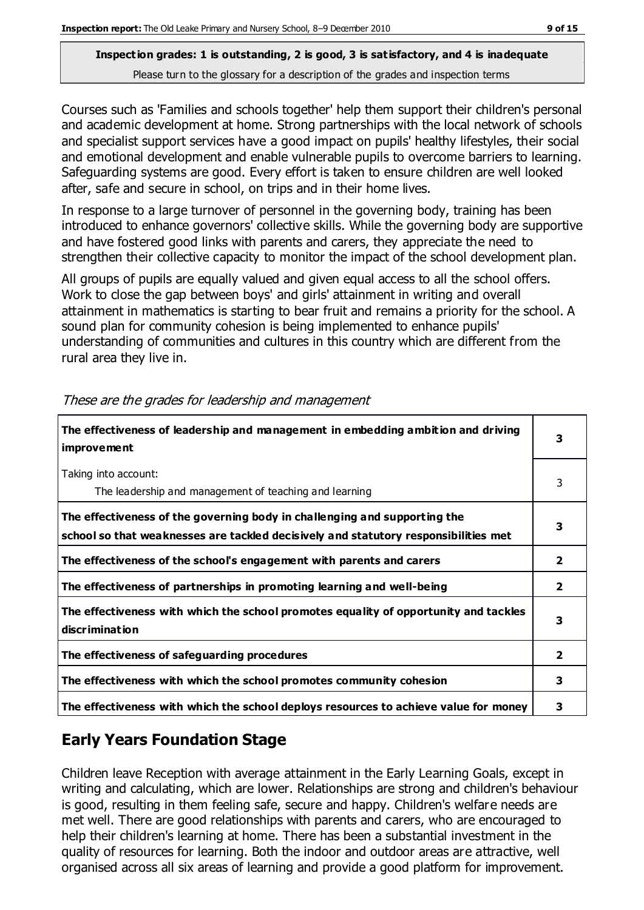Courses such as 'Families and schools together' help them support their children's personal and academic development at home. Strong partnerships with the local network of schools and specialist support services have a good impact on pupils' healthy lifestyles, their social and emotional development and enable vulnerable pupils to overcome barriers to learning. Safeguarding systems are good. Every effort is taken to ensure children are well looked after, safe and secure in school, on trips and in their home lives.

In response to a large turnover of personnel in the governing body, training has been introduced to enhance governors' collective skills. While the governing body are supportive and have fostered good links with parents and carers, they appreciate the need to strengthen their collective capacity to monitor the impact of the school development plan.

All groups of pupils are equally valued and given equal access to all the school offers. Work to close the gap between boys' and girls' attainment in writing and overall attainment in mathematics is starting to bear fruit and remains a priority for the school. A sound plan for community cohesion is being implemented to enhance pupils' understanding of communities and cultures in this country which are different from the rural area they live in.

| The effectiveness of leadership and management in embedding ambition and driving<br><i>improvement</i>                                                           |                |
|------------------------------------------------------------------------------------------------------------------------------------------------------------------|----------------|
| Taking into account:<br>The leadership and management of teaching and learning                                                                                   | 3              |
| The effectiveness of the governing body in challenging and supporting the<br>school so that weaknesses are tackled decisively and statutory responsibilities met | 3              |
| The effectiveness of the school's engagement with parents and carers                                                                                             | 2              |
| The effectiveness of partnerships in promoting learning and well-being                                                                                           | $\mathbf{2}$   |
| The effectiveness with which the school promotes equality of opportunity and tackles<br>discrimination                                                           | 3              |
| The effectiveness of safeguarding procedures                                                                                                                     | $\overline{2}$ |
| The effectiveness with which the school promotes community cohesion                                                                                              | 3              |
| The effectiveness with which the school deploys resources to achieve value for money                                                                             | 3              |

These are the grades for leadership and management

## **Early Years Foundation Stage**

Children leave Reception with average attainment in the Early Learning Goals, except in writing and calculating, which are lower. Relationships are strong and children's behaviour is good, resulting in them feeling safe, secure and happy. Children's welfare needs are met well. There are good relationships with parents and carers, who are encouraged to help their children's learning at home. There has been a substantial investment in the quality of resources for learning. Both the indoor and outdoor areas are attractive, well organised across all six areas of learning and provide a good platform for improvement.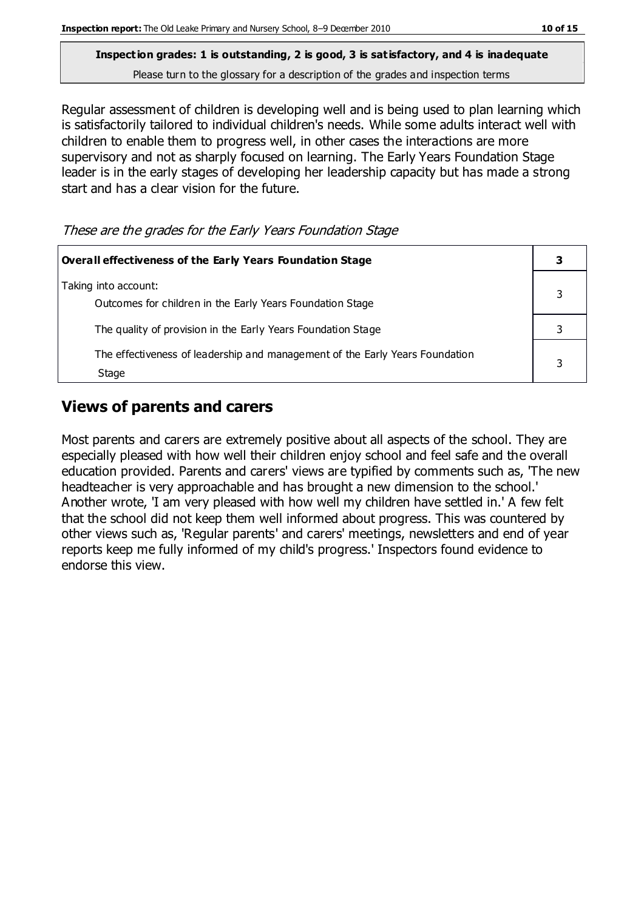Regular assessment of children is developing well and is being used to plan learning which is satisfactorily tailored to individual children's needs. While some adults interact well with children to enable them to progress well, in other cases the interactions are more supervisory and not as sharply focused on learning. The Early Years Foundation Stage leader is in the early stages of developing her leadership capacity but has made a strong start and has a clear vision for the future.

These are the grades for the Early Years Foundation Stage

| Overall effectiveness of the Early Years Foundation Stage                             |  |  |
|---------------------------------------------------------------------------------------|--|--|
| Taking into account:<br>Outcomes for children in the Early Years Foundation Stage     |  |  |
| The quality of provision in the Early Years Foundation Stage                          |  |  |
| The effectiveness of leadership and management of the Early Years Foundation<br>Stage |  |  |

## **Views of parents and carers**

Most parents and carers are extremely positive about all aspects of the school. They are especially pleased with how well their children enjoy school and feel safe and the overall education provided. Parents and carers' views are typified by comments such as, 'The new headteacher is very approachable and has brought a new dimension to the school.' Another wrote, 'I am very pleased with how well my children have settled in.' A few felt that the school did not keep them well informed about progress. This was countered by other views such as, 'Regular parents' and carers' meetings, newsletters and end of year reports keep me fully informed of my child's progress.' Inspectors found evidence to endorse this view.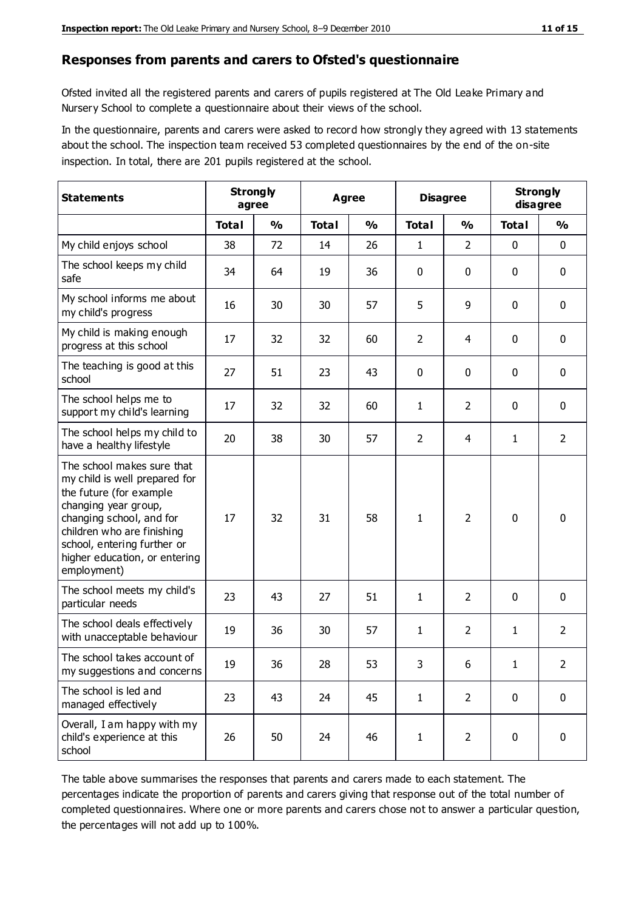#### **Responses from parents and carers to Ofsted's questionnaire**

Ofsted invited all the registered parents and carers of pupils registered at The Old Leake Primary and Nursery School to complete a questionnaire about their views of the school.

In the questionnaire, parents and carers were asked to record how strongly they agreed with 13 statements about the school. The inspection team received 53 completed questionnaires by the end of the on-site inspection. In total, there are 201 pupils registered at the school.

| <b>Statements</b>                                                                                                                                                                                                                                       | <b>Strongly</b><br>agree |               | Agree        |               |                | <b>Disagree</b> |              | <b>Strongly</b><br>disagree |  |
|---------------------------------------------------------------------------------------------------------------------------------------------------------------------------------------------------------------------------------------------------------|--------------------------|---------------|--------------|---------------|----------------|-----------------|--------------|-----------------------------|--|
|                                                                                                                                                                                                                                                         | <b>Total</b>             | $\frac{0}{0}$ | <b>Total</b> | $\frac{0}{0}$ | <b>Total</b>   | $\frac{0}{0}$   | <b>Total</b> | $\frac{0}{0}$               |  |
| My child enjoys school                                                                                                                                                                                                                                  | 38                       | 72            | 14           | 26            | 1              | $\overline{2}$  | $\mathbf 0$  | $\mathbf 0$                 |  |
| The school keeps my child<br>safe                                                                                                                                                                                                                       | 34                       | 64            | 19           | 36            | 0              | 0               | $\mathbf 0$  | $\mathbf 0$                 |  |
| My school informs me about<br>my child's progress                                                                                                                                                                                                       | 16                       | 30            | 30           | 57            | 5              | 9               | $\mathbf 0$  | $\mathbf 0$                 |  |
| My child is making enough<br>progress at this school                                                                                                                                                                                                    | 17                       | 32            | 32           | 60            | $\overline{2}$ | 4               | 0            | $\mathbf 0$                 |  |
| The teaching is good at this<br>school                                                                                                                                                                                                                  | 27                       | 51            | 23           | 43            | 0              | 0               | $\mathbf 0$  | $\mathbf 0$                 |  |
| The school helps me to<br>support my child's learning                                                                                                                                                                                                   | 17                       | 32            | 32           | 60            | 1              | $\overline{2}$  | $\mathbf 0$  | $\mathbf 0$                 |  |
| The school helps my child to<br>have a healthy lifestyle                                                                                                                                                                                                | 20                       | 38            | 30           | 57            | $\overline{2}$ | $\overline{4}$  | $\mathbf{1}$ | $\overline{2}$              |  |
| The school makes sure that<br>my child is well prepared for<br>the future (for example<br>changing year group,<br>changing school, and for<br>children who are finishing<br>school, entering further or<br>higher education, or entering<br>employment) | 17                       | 32            | 31           | 58            | 1              | $\overline{2}$  | $\mathbf 0$  | $\mathbf 0$                 |  |
| The school meets my child's<br>particular needs                                                                                                                                                                                                         | 23                       | 43            | 27           | 51            | 1              | $\overline{2}$  | $\mathbf 0$  | $\mathbf 0$                 |  |
| The school deals effectively<br>with unacceptable behaviour                                                                                                                                                                                             | 19                       | 36            | 30           | 57            | 1              | $\overline{2}$  | 1            | $\overline{2}$              |  |
| The school takes account of<br>my suggestions and concerns                                                                                                                                                                                              | 19                       | 36            | 28           | 53            | 3              | 6               | 1            | 2                           |  |
| The school is led and<br>managed effectively                                                                                                                                                                                                            | 23                       | 43            | 24           | 45            | $\mathbf{1}$   | $\overline{2}$  | $\mathbf 0$  | $\mathbf 0$                 |  |
| Overall, I am happy with my<br>child's experience at this<br>school                                                                                                                                                                                     | 26                       | 50            | 24           | 46            | $\mathbf{1}$   | $\overline{2}$  | $\mathbf 0$  | $\mathbf 0$                 |  |

The table above summarises the responses that parents and carers made to each statement. The percentages indicate the proportion of parents and carers giving that response out of the total number of completed questionnaires. Where one or more parents and carers chose not to answer a particular question, the percentages will not add up to 100%.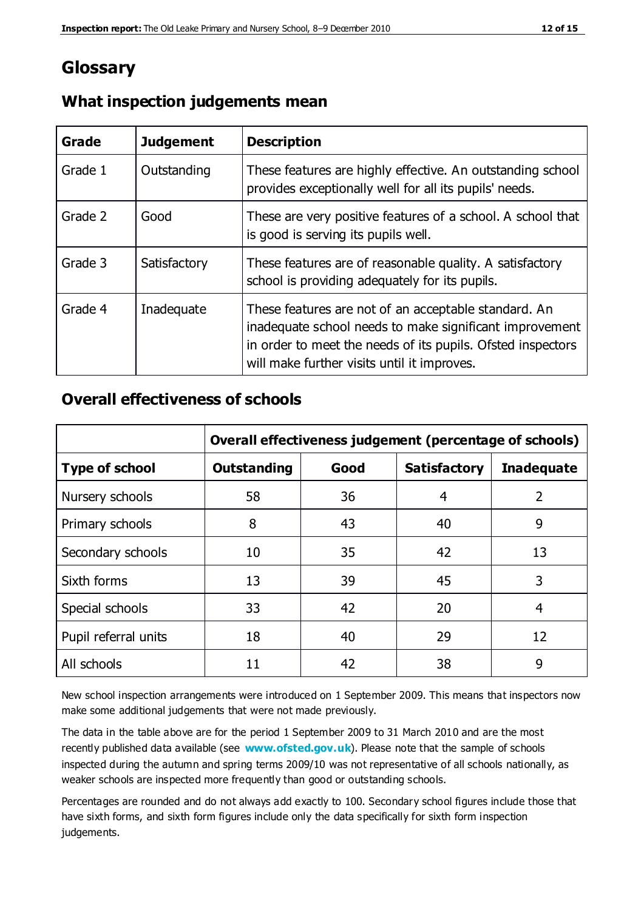## **Glossary**

| Grade   | <b>Judgement</b> | <b>Description</b>                                                                                                                                                                                                            |
|---------|------------------|-------------------------------------------------------------------------------------------------------------------------------------------------------------------------------------------------------------------------------|
| Grade 1 | Outstanding      | These features are highly effective. An outstanding school<br>provides exceptionally well for all its pupils' needs.                                                                                                          |
| Grade 2 | Good             | These are very positive features of a school. A school that<br>is good is serving its pupils well.                                                                                                                            |
| Grade 3 | Satisfactory     | These features are of reasonable quality. A satisfactory<br>school is providing adequately for its pupils.                                                                                                                    |
| Grade 4 | Inadequate       | These features are not of an acceptable standard. An<br>inadequate school needs to make significant improvement<br>in order to meet the needs of its pupils. Ofsted inspectors<br>will make further visits until it improves. |

## **What inspection judgements mean**

## **Overall effectiveness of schools**

|                       | Overall effectiveness judgement (percentage of schools) |      |                     |                   |
|-----------------------|---------------------------------------------------------|------|---------------------|-------------------|
| <b>Type of school</b> | <b>Outstanding</b>                                      | Good | <b>Satisfactory</b> | <b>Inadequate</b> |
| Nursery schools       | 58                                                      | 36   | 4                   | 2                 |
| Primary schools       | 8                                                       | 43   | 40                  | 9                 |
| Secondary schools     | 10                                                      | 35   | 42                  | 13                |
| Sixth forms           | 13                                                      | 39   | 45                  | 3                 |
| Special schools       | 33                                                      | 42   | 20                  | 4                 |
| Pupil referral units  | 18                                                      | 40   | 29                  | 12                |
| All schools           | 11                                                      | 42   | 38                  | 9                 |

New school inspection arrangements were introduced on 1 September 2009. This means that inspectors now make some additional judgements that were not made previously.

The data in the table above are for the period 1 September 2009 to 31 March 2010 and are the most recently published data available (see **[www.ofsted.gov.uk](http://www.ofsted.gov.uk/)**). Please note that the sample of schools inspected during the autumn and spring terms 2009/10 was not representative of all schools nationally, as weaker schools are inspected more frequently than good or outstanding schools.

Percentages are rounded and do not always add exactly to 100. Secondary school figures include those that have sixth forms, and sixth form figures include only the data specifically for sixth form inspection judgements.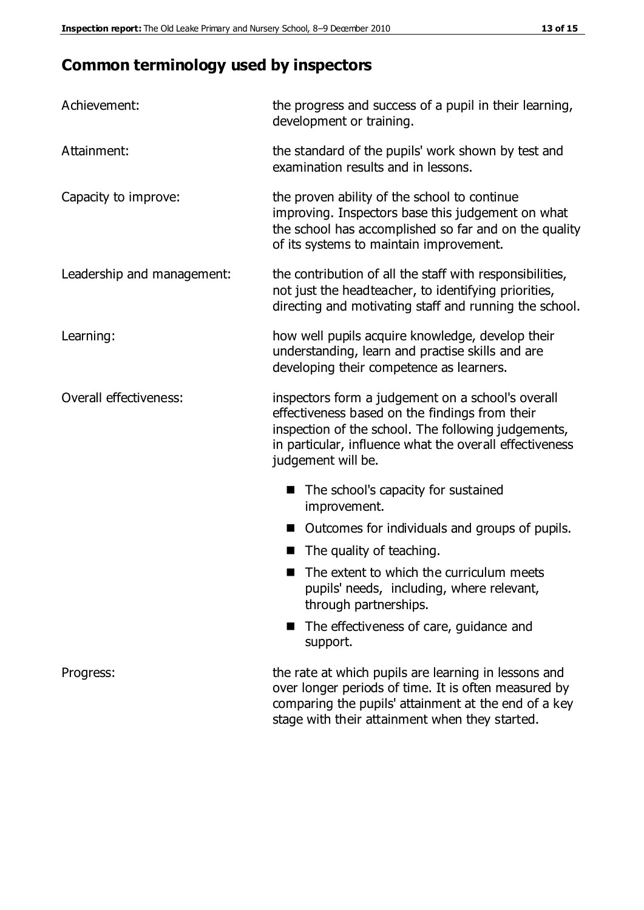## **Common terminology used by inspectors**

| Achievement:               | the progress and success of a pupil in their learning,<br>development or training.                                                                                                                                                          |  |  |
|----------------------------|---------------------------------------------------------------------------------------------------------------------------------------------------------------------------------------------------------------------------------------------|--|--|
| Attainment:                | the standard of the pupils' work shown by test and<br>examination results and in lessons.                                                                                                                                                   |  |  |
| Capacity to improve:       | the proven ability of the school to continue<br>improving. Inspectors base this judgement on what<br>the school has accomplished so far and on the quality<br>of its systems to maintain improvement.                                       |  |  |
| Leadership and management: | the contribution of all the staff with responsibilities,<br>not just the headteacher, to identifying priorities,<br>directing and motivating staff and running the school.                                                                  |  |  |
| Learning:                  | how well pupils acquire knowledge, develop their<br>understanding, learn and practise skills and are<br>developing their competence as learners.                                                                                            |  |  |
| Overall effectiveness:     | inspectors form a judgement on a school's overall<br>effectiveness based on the findings from their<br>inspection of the school. The following judgements,<br>in particular, influence what the overall effectiveness<br>judgement will be. |  |  |
|                            | The school's capacity for sustained<br>improvement.                                                                                                                                                                                         |  |  |
|                            | Outcomes for individuals and groups of pupils.                                                                                                                                                                                              |  |  |
|                            | The quality of teaching.                                                                                                                                                                                                                    |  |  |
|                            | The extent to which the curriculum meets<br>pupils' needs, including, where relevant,<br>through partnerships.                                                                                                                              |  |  |
|                            | The effectiveness of care, guidance and<br>support.                                                                                                                                                                                         |  |  |
| Progress:                  | the rate at which pupils are learning in lessons and<br>over longer periods of time. It is often measured by<br>comparing the pupils' attainment at the end of a key                                                                        |  |  |

stage with their attainment when they started.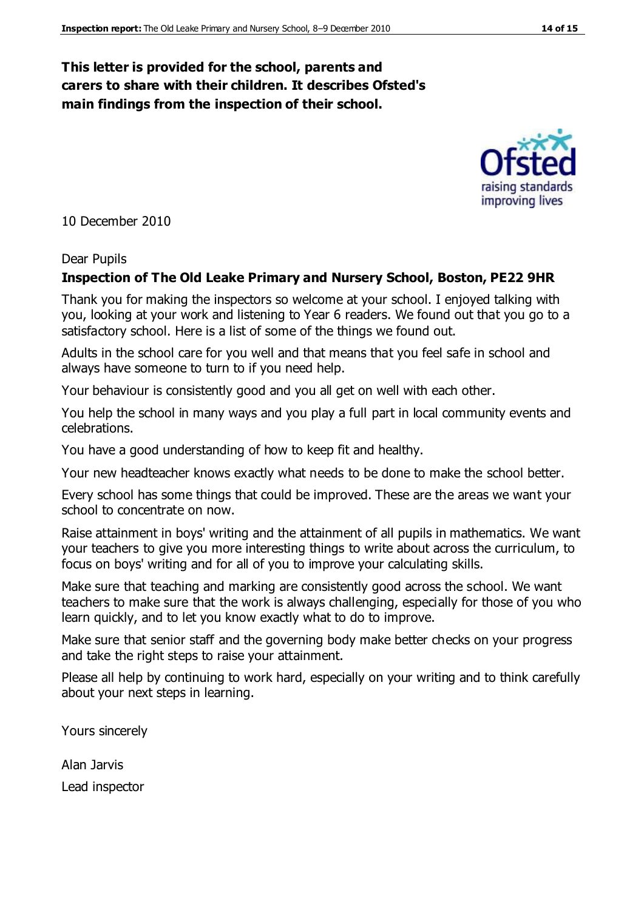## **This letter is provided for the school, parents and carers to share with their children. It describes Ofsted's main findings from the inspection of their school.**

10 December 2010

#### Dear Pupils

#### **Inspection of The Old Leake Primary and Nursery School, Boston, PE22 9HR**

Thank you for making the inspectors so welcome at your school. I enjoyed talking with you, looking at your work and listening to Year 6 readers. We found out that you go to a satisfactory school. Here is a list of some of the things we found out.

Adults in the school care for you well and that means that you feel safe in school and always have someone to turn to if you need help.

Your behaviour is consistently good and you all get on well with each other.

You help the school in many ways and you play a full part in local community events and celebrations.

You have a good understanding of how to keep fit and healthy.

Your new headteacher knows exactly what needs to be done to make the school better.

Every school has some things that could be improved. These are the areas we want your school to concentrate on now.

Raise attainment in boys' writing and the attainment of all pupils in mathematics. We want your teachers to give you more interesting things to write about across the curriculum, to focus on boys' writing and for all of you to improve your calculating skills.

Make sure that teaching and marking are consistently good across the school. We want teachers to make sure that the work is always challenging, especially for those of you who learn quickly, and to let you know exactly what to do to improve.

Make sure that senior staff and the governing body make better checks on your progress and take the right steps to raise your attainment.

Please all help by continuing to work hard, especially on your writing and to think carefully about your next steps in learning.

Yours sincerely

Alan Jarvis Lead inspector